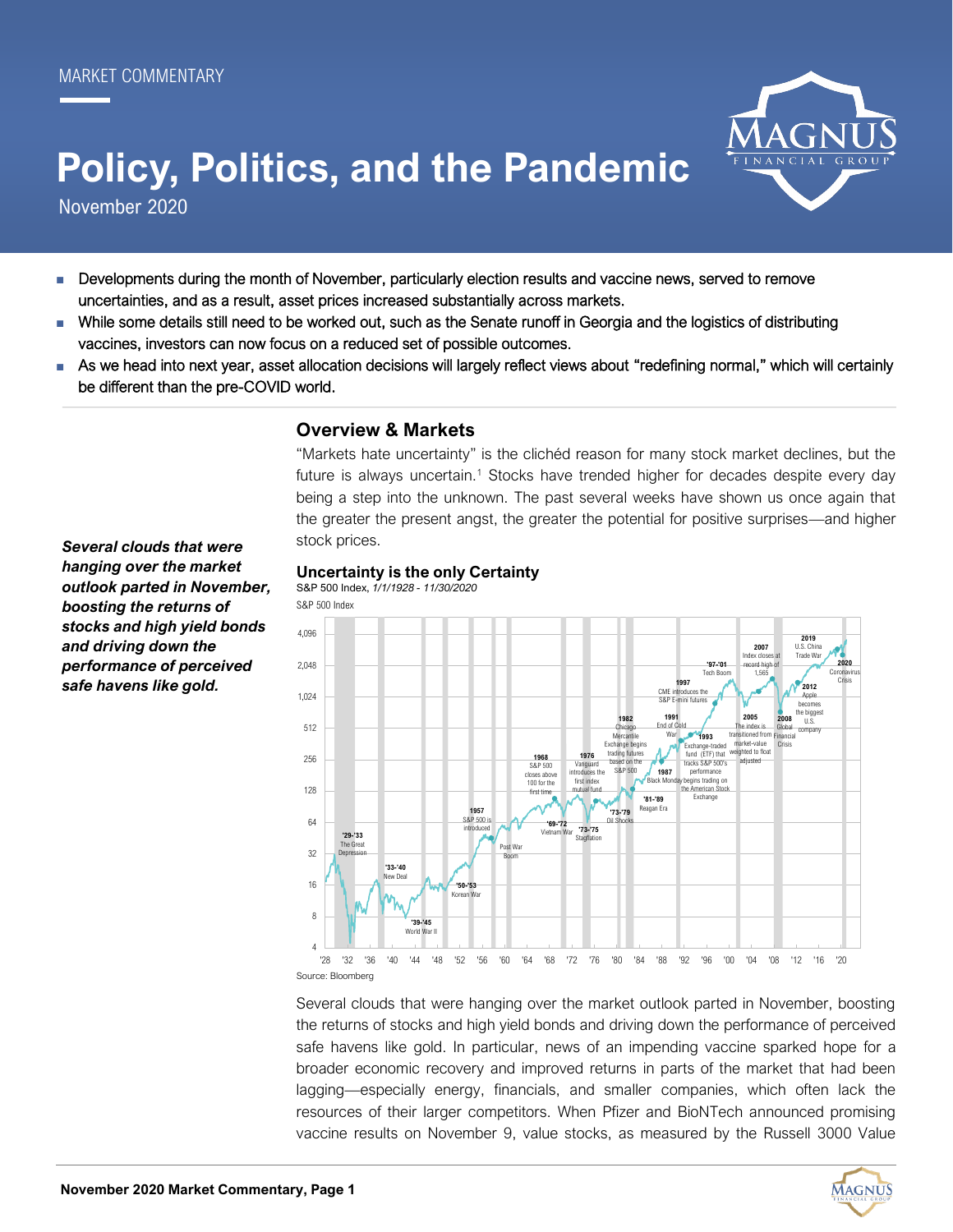# **Policy, Politics, and the Pandemic**

November 2020

- Developments during the month of November, particularly election results and vaccine news, served to remove uncertainties, and as a result, asset prices increased substantially across markets.
- While some details still need to be worked out, such as the Senate runoff in Georgia and the logistics of distributing vaccines, investors can now focus on a reduced set of possible outcomes.
- As we head into next year, asset allocation decisions will largely reflect views about "redefining normal," which will certainly be different than the pre-COVID world.

## **Overview & Markets**

"Markets hate uncertainty" is the clichéd reason for many stock market declines, but the future is always uncertain.<sup>1</sup> Stocks have trended higher for decades despite every day being a step into the unknown. The past several weeks have shown us once again that the greater the present angst, the greater the potential for positive surprises—and higher stock prices.

#### **Uncertainty is the only Certainty** S&P 500 Index, *1/1/1928 - 11/30/2020*

4 8 16 32 64 128 256 512 1,024 2,048 4,096 '28 '32 '36 '40 '44 '48 '52 '56 '60 '64 '68 '72 '76 '80 '84 '88 '92 '96 '00 '04 '08 '12 '16 '20 **'29-'33** The Great Depression **'33-'40** ew Dea **'39-'45** World War II **'50-'53** Korean War Post War Boom **'73-'75** Stagflation **'69-'72** Vietnam War **'73-'79** Oil Shocks **'81-'89** Reagan Era **1987 Black Mon 1991** End of Cold War **'97-'01** Tech Boom **2008** Global Financial Crisis **1957**  $S$ &P 500 introduced **1968** S&P 500 closes above 100 for the first time **1976** Vanguard introduces the first index mutual fund **1982**  Chicago Mercantile Exchange be trading futures based on the S&P 500 **1993** Exchange-traded fund (ETF) that tracks S&P 500's performance begins trading on the American Stock Exchange **1997** CME in  $S$ &P E-mini fut **2005** The index is transitioned from market-value weighted to float adjusted **2007** Index closes at record high of 1,565 **2012** Apple becomes the bigges  $\overline{11.5}$ company **2020** Coronavirus Cr **2019** U.S. China Trade War S&P 500 Index

Source: Bloomberg

Several clouds that were hanging over the market outlook parted in November, boosting the returns of stocks and high yield bonds and driving down the performance of perceived safe havens like gold. In particular, news of an impending vaccine sparked hope for a broader economic recovery and improved returns in parts of the market that had been lagging—especially energy, financials, and smaller companies, which often lack the resources of their larger competitors. When Pfizer and BioNTech announced promising vaccine results on November 9, value stocks, as measured by the Russell 3000 Value

*Several clouds that were hanging over the market outlook parted in November, boosting the returns of stocks and high yield bonds and driving down the performance of perceived safe havens like gold.*



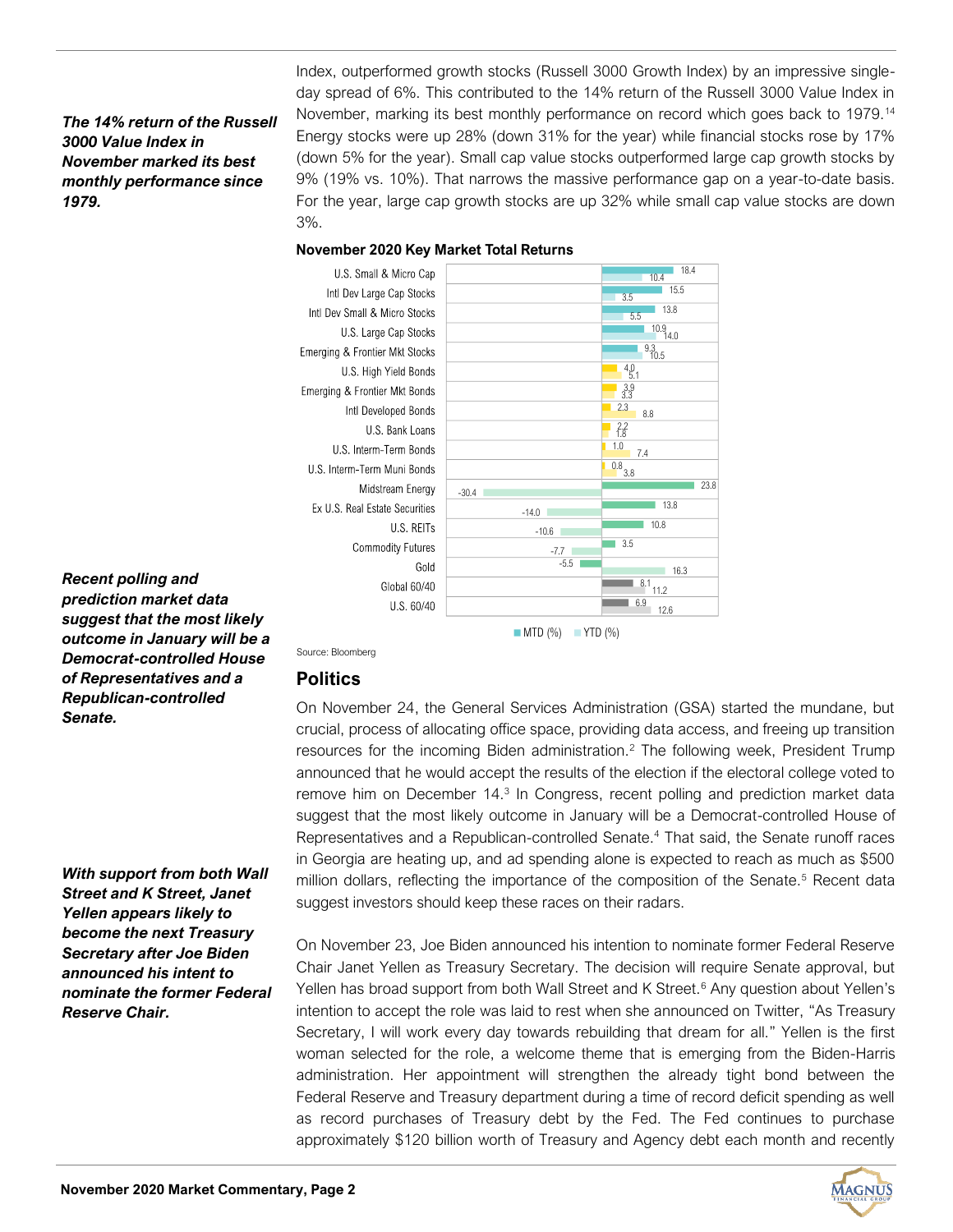#### *The 14% return of the Russell 3000 Value Index in November marked its best monthly performance since 1979.*

Index, outperformed growth stocks (Russell 3000 Growth Index) by an impressive singleday spread of 6%. This contributed to the 14% return of the Russell 3000 Value Index in November, marking its best monthly performance on record which goes back to 1979.<sup>14</sup> Energy stocks were up 28% (down 31% for the year) while financial stocks rose by 17% (down 5% for the year). Small cap value stocks outperformed large cap growth stocks by 9% (19% vs. 10%). That narrows the massive performance gap on a year-to-date basis. For the year, large cap growth stocks are up 32% while small cap value stocks are down 3%.

#### **November 2020 Key Market Total Returns**



*Recent polling and prediction market data suggest that the most likely outcome in January will be a Democrat-controlled House of Representatives and a Republican-controlled Senate.*

*With support from both Wall Street and K Street, Janet Yellen appears likely to become the next Treasury Secretary after Joe Biden announced his intent to nominate the former Federal Reserve Chair.*

Source: Bloomberg

### **Politics**

On November 24, the General Services Administration (GSA) started the mundane, but crucial, process of allocating office space, providing data access, and freeing up transition resources for the incoming Biden administration.<sup>2</sup> The following week, President Trump announced that he would accept the results of the election if the electoral college voted to remove him on December 14.<sup>3</sup> In Congress, recent polling and prediction market data suggest that the most likely outcome in January will be a Democrat-controlled House of Representatives and a Republican-controlled Senate.<sup>4</sup> That said, the Senate runoff races in Georgia are heating up, and ad spending alone is expected to reach as much as \$500 million dollars, reflecting the importance of the composition of the Senate.<sup>5</sup> Recent data suggest investors should keep these races on their radars.

 $MTD$  (%) YTD (%)

On November 23, Joe Biden announced his intention to nominate former Federal Reserve Chair Janet Yellen as Treasury Secretary. The decision will require Senate approval, but Yellen has broad support from both Wall Street and K Street.<sup>6</sup> Any question about Yellen's intention to accept the role was laid to rest when she announced on Twitter, "As Treasury Secretary, I will work every day towards rebuilding that dream for all." Yellen is the first woman selected for the role, a welcome theme that is emerging from the Biden-Harris administration. Her appointment will strengthen the already tight bond between the Federal Reserve and Treasury department during a time of record deficit spending as well as record purchases of Treasury debt by the Fed. The Fed continues to purchase approximately \$120 billion worth of Treasury and Agency debt each month and recently



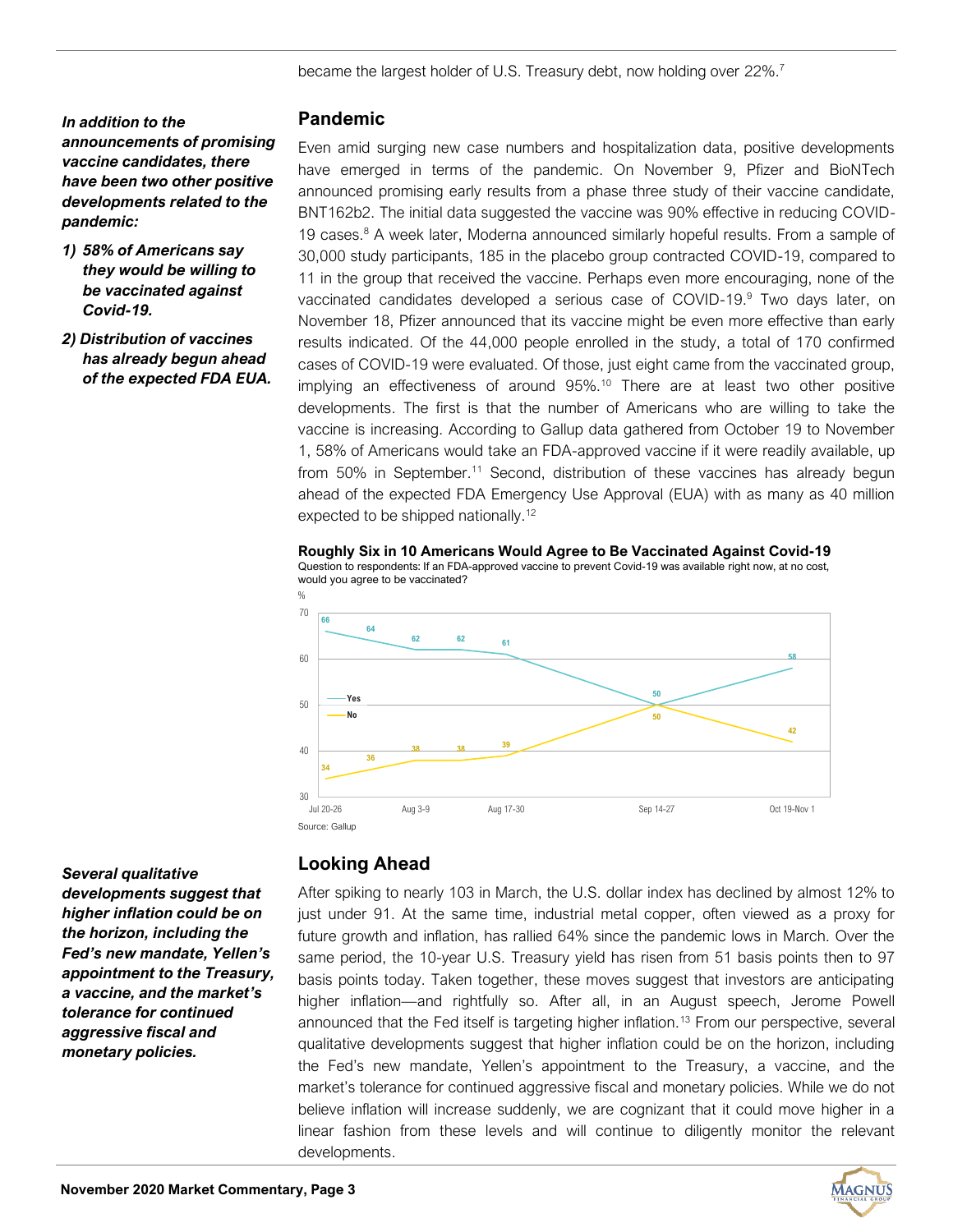*In addition to the announcements of promising vaccine candidates, there have been two other positive developments related to the pandemic:*

- *1) 58% of Americans say they would be willing to be vaccinated against Covid-19.*
- *2) Distribution of vaccines has already begun ahead of the expected FDA EUA.*

#### **Pandemic**

Even amid surging new case numbers and hospitalization data, positive developments have emerged in terms of the pandemic. On November 9, Pfizer and BioNTech announced promising early results from a phase three study of their vaccine candidate, BNT162b2. The initial data suggested the vaccine was 90% effective in reducing COVID-19 cases. $8$  A week later, Moderna announced similarly hopeful results. From a sample of 30,000 study participants, 185 in the placebo group contracted COVID-19, compared to 11 in the group that received the vaccine. Perhaps even more encouraging, none of the vaccinated candidates developed a serious case of COVID-19.<sup>9</sup> Two days later, on November 18, Pfizer announced that its vaccine might be even more effective than early results indicated. Of the 44,000 people enrolled in the study, a total of 170 confirmed cases of COVID-19 were evaluated. Of those, just eight came from the vaccinated group, implying an effectiveness of around 95%.<sup>10</sup> There are at least two other positive developments. The first is that the number of Americans who are willing to take the vaccine is increasing. According to Gallup data gathered from October 19 to November 1, 58% of Americans would take an FDA-approved vaccine if it were readily available, up from 50% in September.<sup>11</sup> Second, distribution of these vaccines has already begun ahead of the expected FDA Emergency Use Approval (EUA) with as many as 40 million expected to be shipped nationally.<sup>12</sup>

#### **Roughly Six in 10 Americans Would Agree to Be Vaccinated Against Covid-19** Question to respondents: If an FDA-approved vaccine to prevent Covid-19 was available right now, at no cost,





*Several qualitative developments suggest that higher inflation could be on the horizon, including the Fed's new mandate, Yellen's appointment to the Treasury, a vaccine, and the market's tolerance for continued aggressive fiscal and monetary policies.*

## **Looking Ahead**

developments. **66** After spiking to nearly 103 in March, the U.S. dollar index has declined by almost 12% to just under 91. At the same time, industrial metal copper, often viewed as a proxy for future growth and inflation, has rallied 64% since the pandemic lows in March. Over the same period, the 10-year U.S. Treasury yield has risen from 51 basis points then to 97 basis points today. Taken together, these moves suggest that investors are anticipating higher inflation—and rightfully so. After all, in an August speech, Jerome Powell announced that the Fed itself is targeting higher inflation.<sup>13</sup> From our perspective, several qualitative developments suggest that higher inflation could be on the horizon, including the Fed's new mandate, Yellen's appointment to the Treasury, a vaccine, and the market's tolerance for continued aggressive fiscal and monetary policies. While we do not believe inflation will increase suddenly, we are cognizant that it could move higher in a linear fashion from these levels and will continue to diligently monitor the relevant developments.

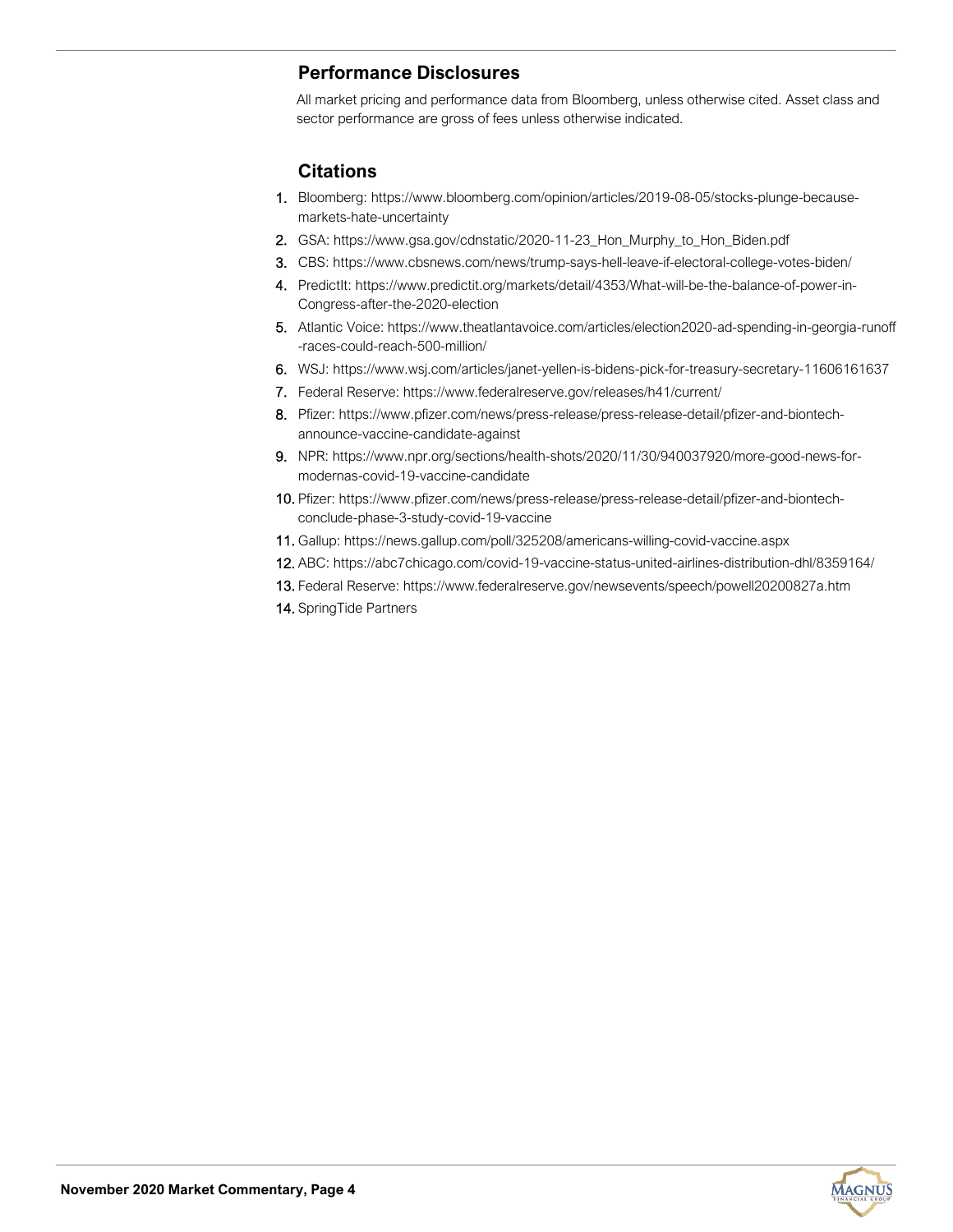# **Performance Disclosures**

All market pricing and performance data from Bloomberg, unless otherwise cited. Asset class and sector performance are gross of fees unless otherwise indicated.

## **Citations**

- 1. Bloomberg: https://www.bloomberg.com/opinion/articles/2019-08-05/stocks-plunge-becausemarkets-hate-uncertainty
- 2. GSA: https://www.gsa.gov/cdnstatic/2020-11-23\_Hon\_Murphy\_to\_Hon\_Biden.pdf
- 3. CBS: https://www.cbsnews.com/news/trump-says-hell-leave-if-electoral-college-votes-biden/
- 4. PredictIt: https://www.predictit.org/markets/detail/4353/What-will-be-the-balance-of-power-in-Congress-after-the-2020-election
- 5. Atlantic Voice: https://www.theatlantavoice.com/articles/election2020-ad-spending-in-georgia-runoff -races-could-reach-500-million/
- 6. WSJ: https://www.wsj.com/articles/janet-yellen-is-bidens-pick-for-treasury-secretary-11606161637
- 7. Federal Reserve: https://www.federalreserve.gov/releases/h41/current/
- 8. Pfizer: https://www.pfizer.com/news/press-release/press-release-detail/pfizer-and-biontechannounce-vaccine-candidate-against
- 9. NPR: https://www.npr.org/sections/health-shots/2020/11/30/940037920/more-good-news-formodernas-covid-19-vaccine-candidate
- 10. Pfizer: https://www.pfizer.com/news/press-release/press-release-detail/pfizer-and-biontechconclude-phase-3-study-covid-19-vaccine
- 11. Gallup: https://news.gallup.com/poll/325208/americans-willing-covid-vaccine.aspx
- 12. ABC: https://abc7chicago.com/covid-19-vaccine-status-united-airlines-distribution-dhl/8359164/
- 13. Federal Reserve: https://www.federalreserve.gov/newsevents/speech/powell20200827a.htm
- 14. SpringTide Partners